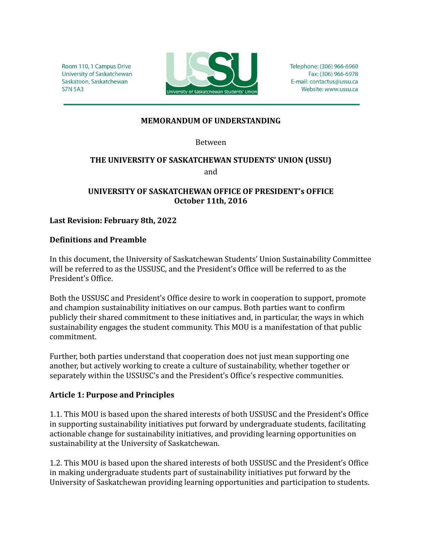Room 110, 1 Campus Drive University of Saskatchewan Saskatoon, Saskatchewan **S7N 5A3** 



Telephone: (306) 966-6960 Fax: (306) 966-6978 E-mail: contactus@ussu.ca Website: www.ussu.ca

### **MEMORANDUM OF UNDERSTANDING**

Between

## **THE UNIVERSITY OF SASKATCHEWAN STUDENTS' UNION (USSU)** and

# **UNIVERSITY OF SASKATCHEWAN OFFICE OF PRESIDENT's OFFICE October 11th, 2016**

### **Last Revision: February 8th, 2022**

#### **Definitions and Preamble**

In this document, the University of Saskatchewan Students' Union Sustainability Committee will be referred to as the USSUSC, and the President's Office will be referred to as the President's Office.

Both the USSUSC and President's Office desire to work in cooperation to support, promote and champion sustainability initiatives on our campus. Both parties want to confirm publicly their shared commitment to these initiatives and, in particular, the ways in which sustainability engages the student community. This MOU is a manifestation of that public commitment.

Further, both parties understand that cooperation does not just mean supporting one another, but actively working to create a culture of sustainability, whether together or separately within the USSUSC's and the President's Office's respective communities.

#### **Article 1: Purpose and Principles**

1.1. This MOU is based upon the shared interests of both USSUSC and the President's Office in supporting sustainability initiatives put forward by undergraduate students, facilitating actionable change for sustainability initiatives, and providing learning opportunities on sustainability at the University of Saskatchewan.

1.2. This MOU is based upon the shared interests of both USSUSC and the President's Office in making undergraduate students part of sustainability initiatives put forward by the University of Saskatchewan providing learning opportunities and participation to students.